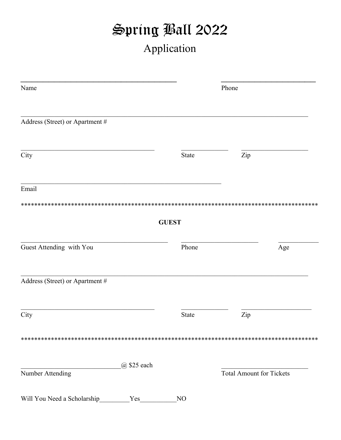## Spring Ball 2022 Application

| Name                               |              | Phone                           |     |
|------------------------------------|--------------|---------------------------------|-----|
| Address (Street) or Apartment #    |              |                                 |     |
| City                               | State        | Zip                             |     |
| Email                              |              |                                 |     |
|                                    | <b>GUEST</b> |                                 |     |
| Guest Attending with You           | Phone        |                                 | Age |
| Address (Street) or Apartment #    |              |                                 |     |
| City                               | State        | Zip                             |     |
|                                    |              |                                 |     |
| @ \$25 each<br>Number Attending    |              | <b>Total Amount for Tickets</b> |     |
| Will You Need a Scholarship<br>Yes | NO           |                                 |     |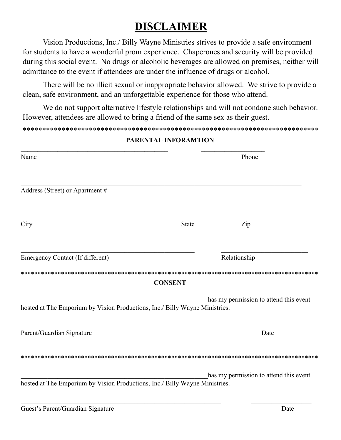### **DISCLAIMER**

Vision Productions, Inc./ Billy Wayne Ministries strives to provide a safe environment for students to have a wonderful prom experience. Chaperones and security will be provided during this social event. No drugs or alcoholic beverages are allowed on premises, neither will admittance to the event if attendees are under the influence of drugs or alcohol.

There will be no illicit sexual or inappropriate behavior allowed. We strive to provide a clean, safe environment, and an unforgettable experience for those who attend.

We do not support alternative lifestyle relationships and will not condone such behavior. However, attendees are allowed to bring a friend of the same sex as their guest.

#### \*\*\*\*\*\*\*\*\*\*\*\*\*\*\*\*\*\*\*\*\*\*\*\*\*\*\*\*\*\*\*\*\*\*\*\*\*\*\*\*\*\*\*\*\*\*\*\*\*\*\*\*\*\*\*\*\*\*\*\*\*\*\*\*\*\*\*\*\*\*\*\*\*\*\*\*

| Name                                                                        |                | Phone                                  |  |
|-----------------------------------------------------------------------------|----------------|----------------------------------------|--|
|                                                                             |                |                                        |  |
| Address (Street) or Apartment #                                             |                |                                        |  |
| City                                                                        | <b>State</b>   | Zip                                    |  |
|                                                                             |                |                                        |  |
| <b>Emergency Contact (If different)</b>                                     |                | Relationship                           |  |
|                                                                             |                |                                        |  |
|                                                                             | <b>CONSENT</b> |                                        |  |
|                                                                             |                | has my permission to attend this event |  |
| hosted at The Emporium by Vision Productions, Inc./ Billy Wayne Ministries. |                |                                        |  |
|                                                                             |                |                                        |  |
| Parent/Guardian Signature                                                   |                | Date                                   |  |
|                                                                             |                |                                        |  |
|                                                                             |                | has my permission to attend this event |  |
| hosted at The Emporium by Vision Productions, Inc./ Billy Wayne Ministries. |                |                                        |  |
|                                                                             |                |                                        |  |

#### **PARENTAL INFORAMTION**